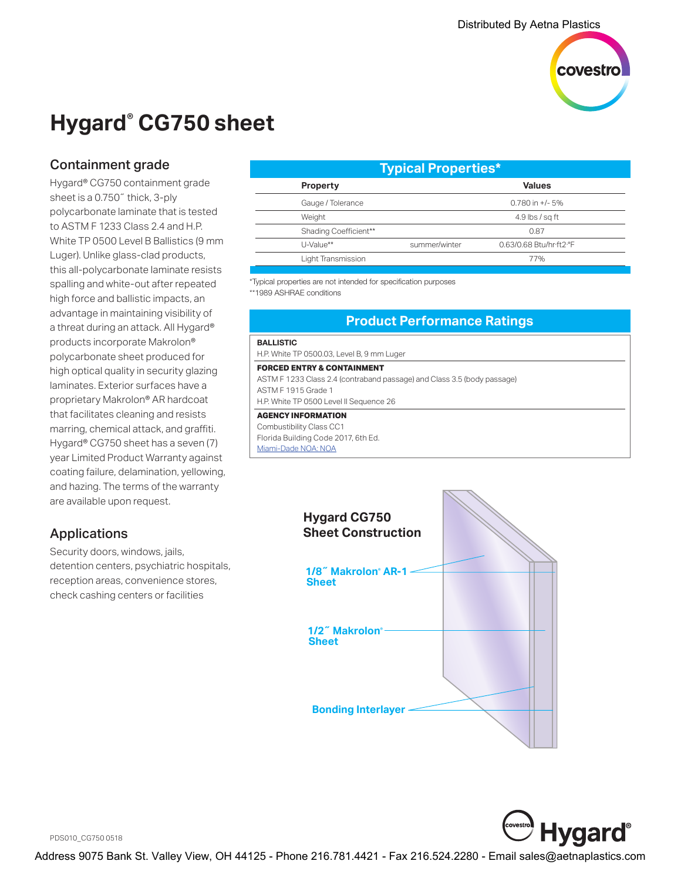

# **Hygard® CG750 sheet**

# Containment grade

Hygard® CG750 containment grade sheet is a 0.750˝ thick, 3-ply polycarbonate laminate that is tested to ASTM F 1233 Class 2.4 and H.P. White TP 0500 Level B Ballistics (9 mm Luger). Unlike glass-clad products, this all-polycarbonate laminate resists spalling and white-out after repeated high force and ballistic impacts, an advantage in maintaining visibility of a threat during an attack. All Hygard® products incorporate Makrolon® polycarbonate sheet produced for high optical quality in security glazing laminates. Exterior surfaces have a proprietary Makrolon® AR hardcoat that facilitates cleaning and resists marring, chemical attack, and graffiti. Hygard® CG750 sheet has a seven (7) year Limited Product Warranty against coating failure, delamination, yellowing, and hazing. The terms of the warranty are available upon request.

# Applications

Security doors, windows, jails, detention centers, psychiatric hospitals, reception areas, convenience stores, check cashing centers or facilities

| Typical Properties*   |               |                         |  |
|-----------------------|---------------|-------------------------|--|
| <b>Property</b>       |               | <b>Values</b>           |  |
| Gauge / Tolerance     |               | $0.780$ in $+/-5%$      |  |
| Weight                |               | 4.9 lbs $/$ sq ft       |  |
| Shading Coefficient** |               | 0.87                    |  |
| U-Value**             | summer/winter | 0.63/0.68 Btu/hr·ft2·°F |  |
| Light Transmission    |               | 77%                     |  |
|                       |               |                         |  |

\*Typical properties are not intended for specification purposes \*\*1989 ASHRAE conditions

## **Product Performance Ratings**

### **BALLISTIC**

H.P. White TP 0500.03, Level B, 9 mm Luger

#### **FORCED ENTRY & CONTAINMENT**

ASTM F 1233 Class 2.4 (contraband passage) and Class 3.5 (body passage) ASTM F 1915 Grade 1

H.P. White TP 0500 Level II Sequence 26

### **AGENCY INFORMATION**

Combustibility Class CC1 Florida Building Code 2017, 6th Ed. [Miami-Dade NOA: NOA](http://www.miamidade.gov/building/pc-result_app.asp?fldNOA=&Classification=0%2CUnknown+%2F+Unselected%2C1&AdvancedSearch=Go&applicantlist=101475&categorylist=0&subcategorylist=0&materiallist=0&impactlist=0&fldMDPP=0.00&fldMDPN=0.00)





PDS010\_CG750 0518